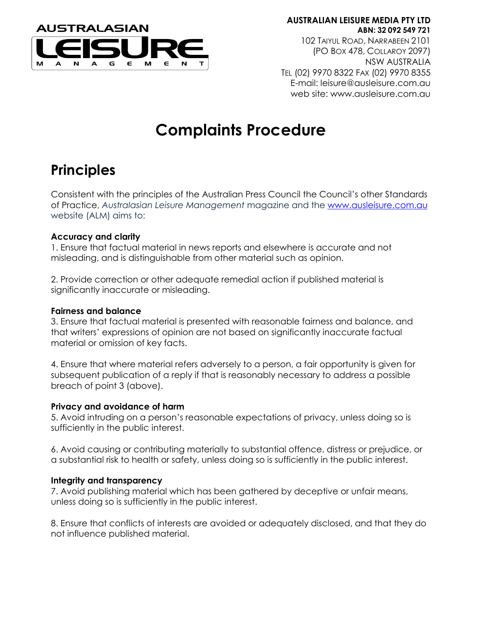

**AUSTRALIAN LEISURE MEDIA PTY LTD ABN: 32 092 549 721** 102 TAIYUL ROAD, NARRABEEN 2101 (PO BOX 478, COLLAROY 2097) NSW AUSTRALIA TEL (02) 9970 8322 FAX (02) 9970 8355 E-mail: leisure@ausleisure.com.au web site: www.ausleisure.com.au

# **Complaints Procedure**

### **Principles**

Consistent with the principles of the Australian Press Council the Council's other Standards of Practice, *Australasian Leisure Management* magazine and the [www.ausleisure.com.au](http://www.ausleisure.com.au/) website (ALM) aims to:

### **Accuracy and clarity**

1. Ensure that factual material in news reports and elsewhere is accurate and not misleading, and is distinguishable from other material such as opinion.

2. Provide correction or other adequate remedial action if published material is significantly inaccurate or misleading.

### **Fairness and balance**

3. Ensure that factual material is presented with reasonable fairness and balance, and that writers' expressions of opinion are not based on significantly inaccurate factual material or omission of key facts.

4. Ensure that where material refers adversely to a person, a fair opportunity is given for subsequent publication of a reply if that is reasonably necessary to address a possible breach of point 3 (above).

### **Privacy and avoidance of harm**

5. Avoid intruding on a person's reasonable expectations of privacy, unless doing so is sufficiently in the public interest.

6. Avoid causing or contributing materially to substantial offence, distress or prejudice, or a substantial risk to health or safety, unless doing so is sufficiently in the public interest.

### **Integrity and transparency**

7. Avoid publishing material which has been gathered by deceptive or unfair means, unless doing so is sufficiently in the public interest.

8. Ensure that conflicts of interests are avoided or adequately disclosed, and that they do not influence published material.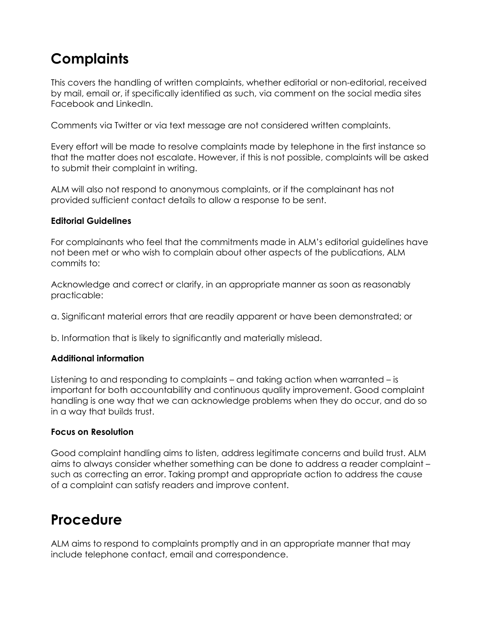## **Complaints**

This covers the handling of written complaints, whether editorial or non-editorial, received by mail, email or, if specifically identified as such, via comment on the social media sites Facebook and LinkedIn.

Comments via Twitter or via text message are not considered written complaints.

Every effort will be made to resolve complaints made by telephone in the first instance so that the matter does not escalate. However, if this is not possible, complaints will be asked to submit their complaint in writing.

ALM will also not respond to anonymous complaints, or if the complainant has not provided sufficient contact details to allow a response to be sent.

### **Editorial Guidelines**

For complainants who feel that the commitments made in ALM's editorial guidelines have not been met or who wish to complain about other aspects of the publications, ALM commits to:

Acknowledge and correct or clarify, in an appropriate manner as soon as reasonably practicable:

a. Significant material errors that are readily apparent or have been demonstrated; or

b. Information that is likely to significantly and materially mislead.

### **Additional information**

Listening to and responding to complaints – and taking action when warranted – is important for both accountability and continuous quality improvement. Good complaint handling is one way that we can acknowledge problems when they do occur, and do so in a way that builds trust.

### **Focus on Resolution**

Good complaint handling aims to listen, address legitimate concerns and build trust. ALM aims to always consider whether something can be done to address a reader complaint – such as correcting an error. Taking prompt and appropriate action to address the cause of a complaint can satisfy readers and improve content.

### **Procedure**

ALM aims to respond to complaints promptly and in an appropriate manner that may include telephone contact, email and correspondence.